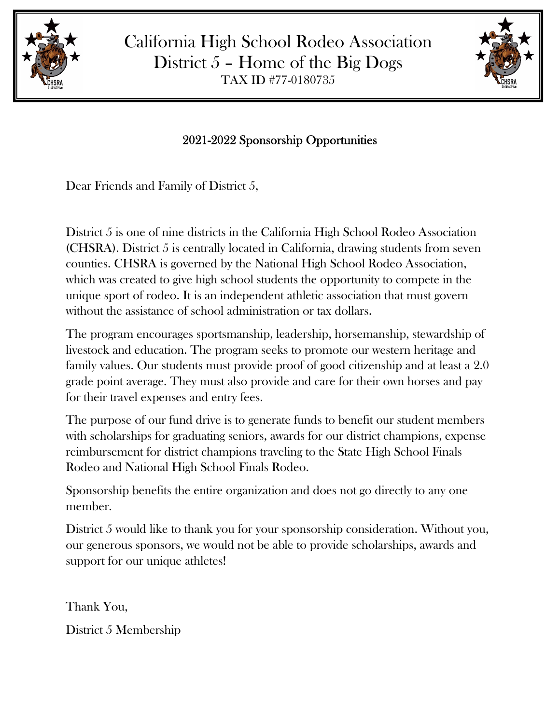

California High School Rodeo Association District  $5$  – Home of the Big Dogs TAX ID #77-0180735



## 2021-2022 Sponsorship Opportunities

Dear Friends and Family of District 5,

District 5 is one of nine districts in the California High School Rodeo Association (CHSRA). District 5 is centrally located in California, drawing students from seven counties. CHSRA is governed by the National High School Rodeo Association, which was created to give high school students the opportunity to compete in the unique sport of rodeo. It is an independent athletic association that must govern without the assistance of school administration or tax dollars.

The program encourages sportsmanship, leadership, horsemanship, stewardship of livestock and education. The program seeks to promote our western heritage and family values. Our students must provide proof of good citizenship and at least a 2.0 grade point average. They must also provide and care for their own horses and pay for their travel expenses and entry fees.

The purpose of our fund drive is to generate funds to benefit our student members with scholarships for graduating seniors, awards for our district champions, expense reimbursement for district champions traveling to the State High School Finals Rodeo and National High School Finals Rodeo.

Sponsorship benefits the entire organization and does not go directly to any one member.

District 5 would like to thank you for your sponsorship consideration. Without you, our generous sponsors, we would not be able to provide scholarships, awards and support for our unique athletes!

Thank You, District 5 Membership